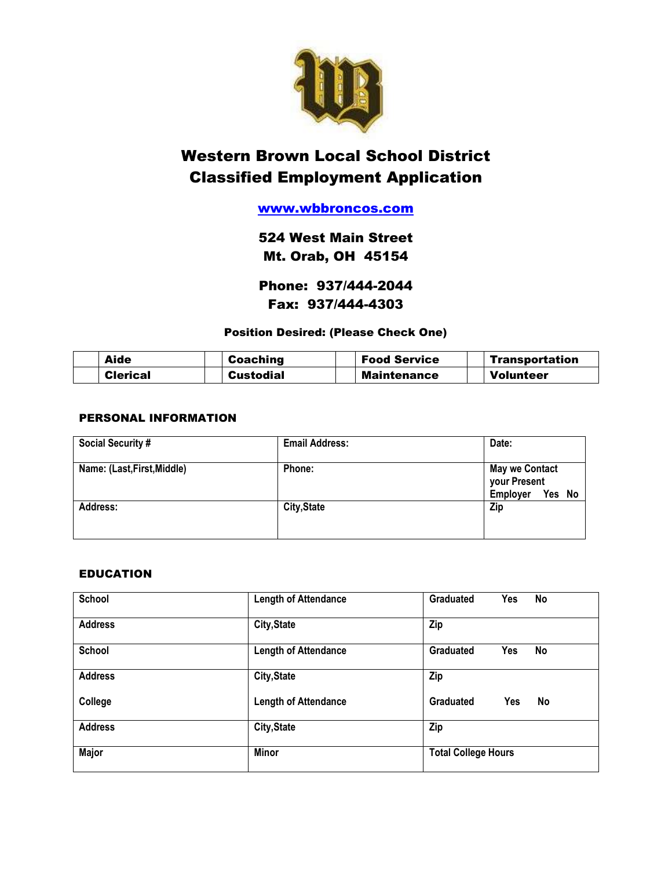

# Western Brown Local School District Classified Employment Application

# [www.wbbroncos.com](http://www.wbbroncos.com/)

524 West Main Street Mt. Orab, OH 45154

Phone: 937/444-2044 Fax: 937/444-4303

# Position Desired: (Please Check One)

| Aide            | Coaching         | <b>Food Service</b> | Transportation   |
|-----------------|------------------|---------------------|------------------|
| <b>Clerical</b> | <b>Custodial</b> | <b>Maintenance</b>  | <b>Volunteer</b> |

## PERSONAL INFORMATION

| <b>Social Security #</b>    | <b>Email Address:</b> | Date:                                                       |  |
|-----------------------------|-----------------------|-------------------------------------------------------------|--|
| Name: (Last, First, Middle) | Phone:                | <b>May we Contact</b><br>your Present<br>Yes No<br>Employer |  |
| <b>Address:</b>             | City, State           | Zip                                                         |  |

#### EDUCATION

| School         | <b>Length of Attendance</b> | <b>Graduated</b><br>Yes<br>No |
|----------------|-----------------------------|-------------------------------|
| <b>Address</b> | City, State                 | Zip                           |
| School         | <b>Length of Attendance</b> | <b>Graduated</b><br>Yes<br>No |
| <b>Address</b> | City, State                 | Zip                           |
| College        | <b>Length of Attendance</b> | Graduated<br>No<br>Yes        |
| <b>Address</b> | City, State                 | Zip                           |
| <b>Major</b>   | <b>Minor</b>                | <b>Total College Hours</b>    |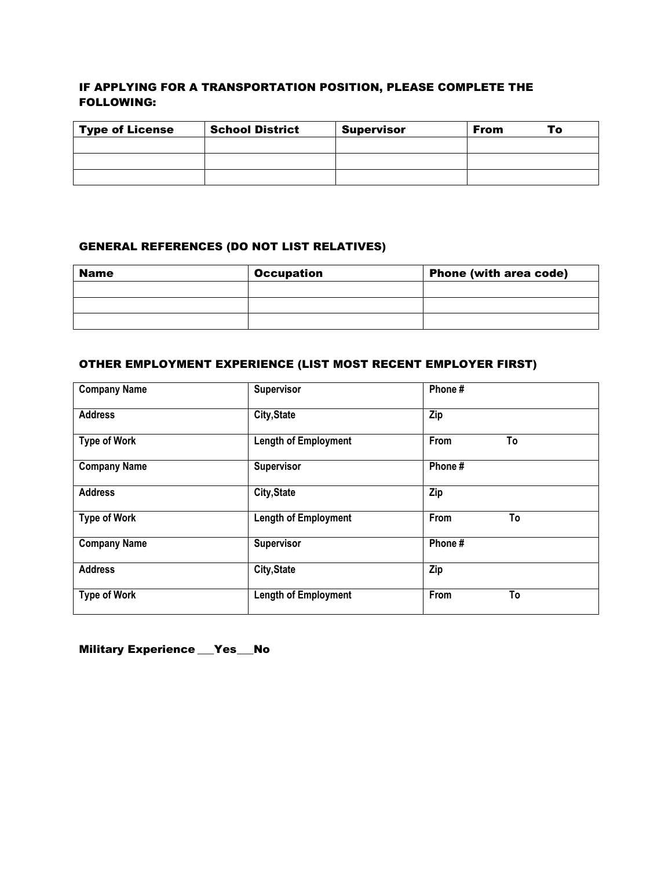# IF APPLYING FOR A TRANSPORTATION POSITION, PLEASE COMPLETE THE FOLLOWING:

| <b>Type of License</b> | <b>School District</b> | <b>Supervisor</b> | <b>From</b><br>To |
|------------------------|------------------------|-------------------|-------------------|
|                        |                        |                   |                   |
|                        |                        |                   |                   |
|                        |                        |                   |                   |

# GENERAL REFERENCES (DO NOT LIST RELATIVES)

| <b>Name</b> | <b>Occupation</b> | <b>Phone (with area code)</b> |  |
|-------------|-------------------|-------------------------------|--|
|             |                   |                               |  |
|             |                   |                               |  |
|             |                   |                               |  |

# OTHER EMPLOYMENT EXPERIENCE (LIST MOST RECENT EMPLOYER FIRST)

| <b>Company Name</b> | Supervisor                  | Phone#     |
|---------------------|-----------------------------|------------|
| <b>Address</b>      | City, State                 | Zip        |
| <b>Type of Work</b> | <b>Length of Employment</b> | From<br>To |
| <b>Company Name</b> | Supervisor                  | Phone#     |
| <b>Address</b>      | <b>City, State</b>          | Zip        |
| <b>Type of Work</b> | <b>Length of Employment</b> | To<br>From |
| <b>Company Name</b> | Supervisor                  | Phone#     |
| <b>Address</b>      | <b>City, State</b>          | Zip        |
| <b>Type of Work</b> | <b>Length of Employment</b> | To<br>From |

Military Experience \_\_Yes\_\_No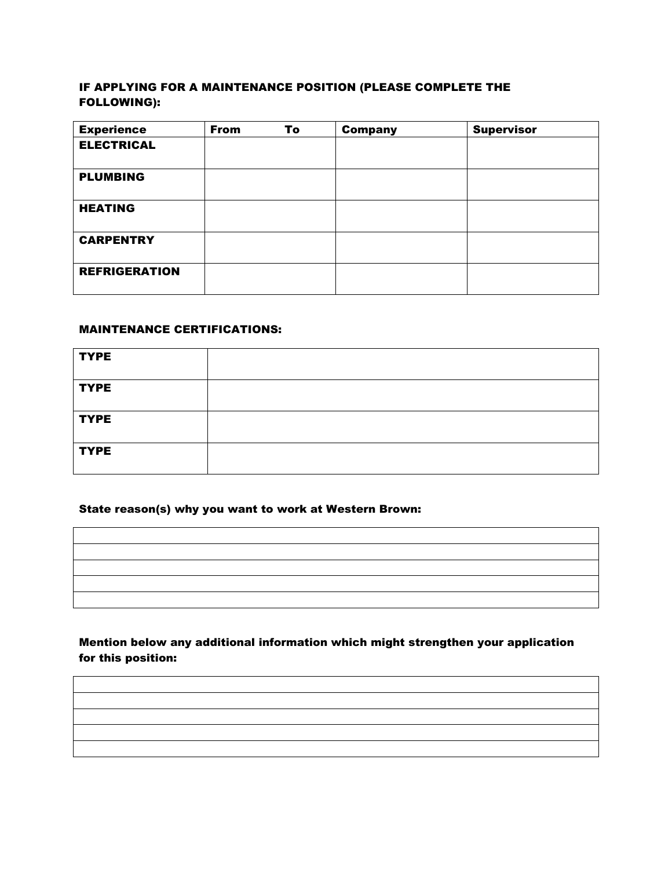## IF APPLYING FOR A MAINTENANCE POSITION (PLEASE COMPLETE THE FOLLOWING):

| <b>Experience</b>    | <b>From</b> | To | <b>Company</b> | <b>Supervisor</b> |
|----------------------|-------------|----|----------------|-------------------|
| <b>ELECTRICAL</b>    |             |    |                |                   |
| <b>PLUMBING</b>      |             |    |                |                   |
| <b>HEATING</b>       |             |    |                |                   |
| <b>CARPENTRY</b>     |             |    |                |                   |
| <b>REFRIGERATION</b> |             |    |                |                   |

## MAINTENANCE CERTIFICATIONS:

| <b>TYPE</b> |  |
|-------------|--|
| <b>TYPE</b> |  |
| <b>TYPE</b> |  |
| <b>TYPE</b> |  |

#### State reason(s) why you want to work at Western Brown:

## Mention below any additional information which might strengthen your application for this position: